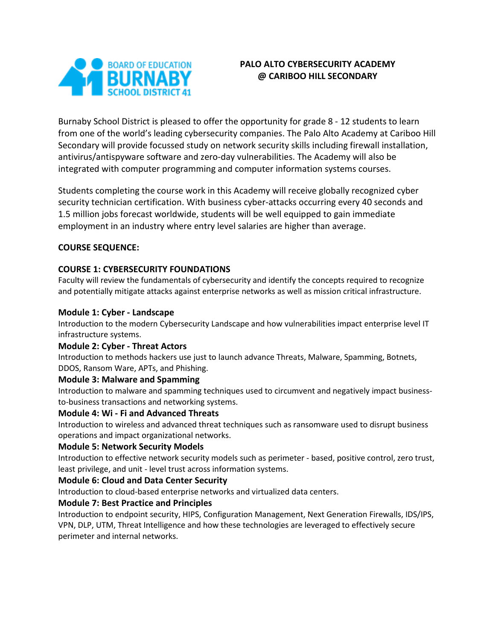

# **PALO ALTO CYBERSECURITY ACADEMY @ CARIBOO HILL SECONDARY**

Burnaby School District is pleased to offer the opportunity for grade 8 - 12 students to learn from one of the world's leading cybersecurity companies. The Palo Alto Academy at Cariboo Hill Secondary will provide focussed study on network security skills including firewall installation, antivirus/antispyware software and zero-day vulnerabilities. The Academy will also be integrated with computer programming and computer information systems courses.

Students completing the course work in this Academy will receive globally recognized cyber security technician certification. With business cyber-attacks occurring every 40 seconds and 1.5 million jobs forecast worldwide, students will be well equipped to gain immediate employment in an industry where entry level salaries are higher than average.

#### **COURSE SEQUENCE:**

## **COURSE 1: CYBERSECURITY FOUNDATIONS**

Faculty will review the fundamentals of cybersecurity and identify the concepts required to recognize and potentially mitigate attacks against enterprise networks as well as mission critical infrastructure.

### **Module 1: Cyber - Landscape**

Introduction to the modern Cybersecurity Landscape and how vulnerabilities impact enterprise level IT infrastructure systems.

#### **Module 2: Cyber - Threat Actors**

Introduction to methods hackers use just to launch advance Threats, Malware, Spamming, Botnets, DDOS, Ransom Ware, APTs, and Phishing.

## **Module 3: Malware and Spamming**

Introduction to malware and spamming techniques used to circumvent and negatively impact businessto-business transactions and networking systems.

## **Module 4: Wi - Fi and Advanced Threats**

Introduction to wireless and advanced threat techniques such as ransomware used to disrupt business operations and impact organizational networks.

## **Module 5: Network Security Models**

Introduction to effective network security models such as perimeter - based, positive control, zero trust, least privilege, and unit - level trust across information systems.

#### **Module 6: Cloud and Data Center Security**

Introduction to cloud-based enterprise networks and virtualized data centers.

#### **Module 7: Best Practice and Principles**

Introduction to endpoint security, HIPS, Configuration Management, Next Generation Firewalls, IDS/IPS, VPN, DLP, UTM, Threat Intelligence and how these technologies are leveraged to effectively secure perimeter and internal networks.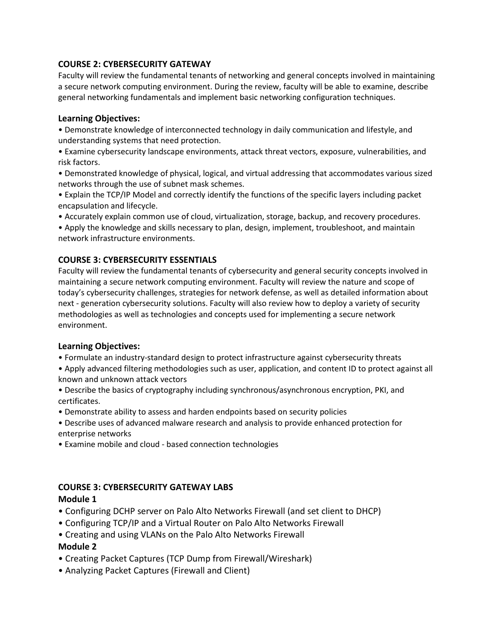#### **COURSE 2: CYBERSECURITY GATEWAY**

Faculty will review the fundamental tenants of networking and general concepts involved in maintaining a secure network computing environment. During the review, faculty will be able to examine, describe general networking fundamentals and implement basic networking configuration techniques.

#### **Learning Objectives:**

• Demonstrate knowledge of interconnected technology in daily communication and lifestyle, and understanding systems that need protection.

• Examine cybersecurity landscape environments, attack threat vectors, exposure, vulnerabilities, and risk factors.

• Demonstrated knowledge of physical, logical, and virtual addressing that accommodates various sized networks through the use of subnet mask schemes.

• Explain the TCP/IP Model and correctly identify the functions of the specific layers including packet encapsulation and lifecycle.

• Accurately explain common use of cloud, virtualization, storage, backup, and recovery procedures.

• Apply the knowledge and skills necessary to plan, design, implement, troubleshoot, and maintain network infrastructure environments.

## **COURSE 3: CYBERSECURITY ESSENTIALS**

Faculty will review the fundamental tenants of cybersecurity and general security concepts involved in maintaining a secure network computing environment. Faculty will review the nature and scope of today's cybersecurity challenges, strategies for network defense, as well as detailed information about next - generation cybersecurity solutions. Faculty will also review how to deploy a variety of security methodologies as well as technologies and concepts used for implementing a secure network environment.

#### **Learning Objectives:**

- Formulate an industry-standard design to protect infrastructure against cybersecurity threats
- Apply advanced filtering methodologies such as user, application, and content ID to protect against all known and unknown attack vectors
- Describe the basics of cryptography including synchronous/asynchronous encryption, PKI, and certificates.
- Demonstrate ability to assess and harden endpoints based on security policies

• Describe uses of advanced malware research and analysis to provide enhanced protection for enterprise networks

• Examine mobile and cloud - based connection technologies

## **COURSE 3: CYBERSECURITY GATEWAY LABS**

#### **Module 1**

- Configuring DCHP server on Palo Alto Networks Firewall (and set client to DHCP)
- Configuring TCP/IP and a Virtual Router on Palo Alto Networks Firewall
- Creating and using VLANs on the Palo Alto Networks Firewall

## **Module 2**

- Creating Packet Captures (TCP Dump from Firewall/Wireshark)
- Analyzing Packet Captures (Firewall and Client)